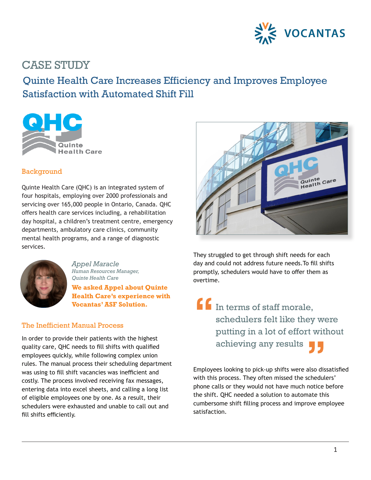

## CASE STUDY

## Quinte Health Care Increases Efficiency and Improves Employee Satisfaction with Automated Shift Fill



### Background

Quinte Health Care (QHC) is an integrated system of four hospitals, employing over 2000 professionals and servicing over 165,000 people in Ontario, Canada. QHC offers health care services including, a rehabilitation day hospital, a children's treatment centre, emergency departments, ambulatory care clinics, community mental health programs, and a range of diagnostic services.



*Appel Maracle Human Resources Manager, Quinte Health Care*

**We asked Appel about Quinte Health Care's experience with Health Care's experience with<br>Vocantas' ASF Solution.<br>Manual Process** 

### The Inefficient Manual Process

In order to provide their patients with the highest quality care, QHC needs to fill shifts with qualified employees quickly, while following complex union rules. The manual process their scheduling department was using to fill shift vacancies was inefficient and costly. The process involved receiving fax messages, entering data into excel sheets, and calling a long list of eligible employees one by one. As a result, their schedulers were exhausted and unable to call out and fill shifts efficiently.



They struggled to get through shift needs for each day and could not address future needs.To fill shifts promptly, schedulers would have to offer them as overtime.

In terms of staff morale, schedulers felt like they were putting in a lot of effort without achieving any results **"**

Employees looking to pick-up shifts were also dissatisfied with this process. They often missed the schedulers' phone calls or they would not have much notice before the shift. QHC needed a solution to automate this cumbersome shift filling process and improve employee satisfaction.